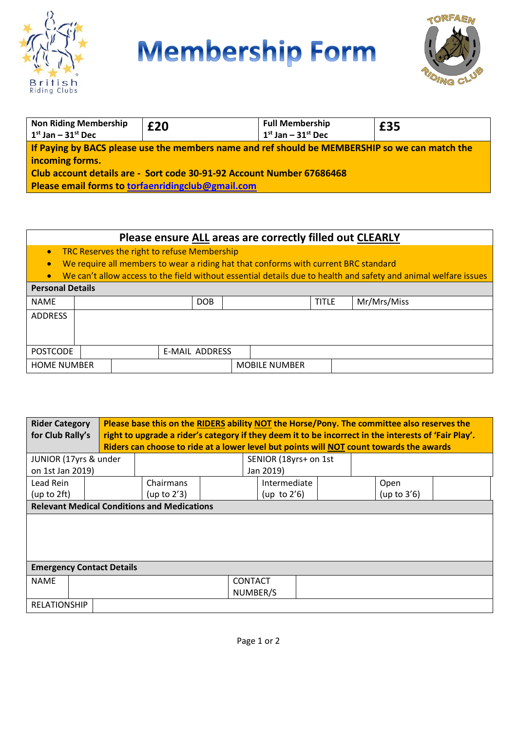

## **Membership Form**



| <b>Non Riding Membership</b><br>$1st$ Jan – $31st$ Dec                                         | £20 | <b>Full Membership</b><br>$1st$ Jan – $31st$ Dec | £35 |  |  |  |
|------------------------------------------------------------------------------------------------|-----|--------------------------------------------------|-----|--|--|--|
| If Paying by BACS please use the members name and ref should be MEMBERSHIP so we can match the |     |                                                  |     |  |  |  |
| incoming forms.<br>Club account details are - Sort code 30-91-92 Account Number 67686468       |     |                                                  |     |  |  |  |
| Please email forms to torfaenridingclub@gmail.com                                              |     |                                                  |     |  |  |  |

## **Please ensure ALL areas are correctly filled out CLEARLY**

- TRC Reserves the right to refuse Membership
- We require all members to wear a riding hat that conforms with current BRC standard
- We can't allow access to the field without essential details due to health and safety and animal welfare issues **Personal Details**

|  |                                       | <b>DOB</b> |  |                | <b>TITLE</b>         | Mr/Mrs/Miss |
|--|---------------------------------------|------------|--|----------------|----------------------|-------------|
|  |                                       |            |  |                |                      |             |
|  |                                       |            |  |                |                      |             |
|  |                                       |            |  |                |                      |             |
|  |                                       |            |  |                |                      |             |
|  |                                       |            |  |                |                      |             |
|  | <b>POSTCODE</b><br><b>HOME NUMBER</b> |            |  | E-MAIL ADDRESS | <b>MOBILE NUMBER</b> |             |

| <b>Rider Category</b><br>for Club Rally's          | Please base this on the RIDERS ability NOT the Horse/Pony. The committee also reserves the<br>right to upgrade a rider's category if they deem it to be incorrect in the interests of 'Fair Play'.<br>Riders can choose to ride at a lower level but points will NOT count towards the awards |                |  |                            |  |                |  |
|----------------------------------------------------|-----------------------------------------------------------------------------------------------------------------------------------------------------------------------------------------------------------------------------------------------------------------------------------------------|----------------|--|----------------------------|--|----------------|--|
|                                                    | JUNIOR (17yrs & under                                                                                                                                                                                                                                                                         |                |  | SENIOR (18yrs+ on 1st      |  |                |  |
| on 1st Jan 2019)                                   |                                                                                                                                                                                                                                                                                               |                |  | Jan 2019)                  |  |                |  |
| Lead Rein                                          |                                                                                                                                                                                                                                                                                               | Chairmans      |  | Intermediate               |  | Open           |  |
| (up to 2ft)                                        |                                                                                                                                                                                                                                                                                               | (up to $2'3$ ) |  | (up to $2'6$ )             |  | (up to $3'6$ ) |  |
| <b>Relevant Medical Conditions and Medications</b> |                                                                                                                                                                                                                                                                                               |                |  |                            |  |                |  |
|                                                    |                                                                                                                                                                                                                                                                                               |                |  |                            |  |                |  |
| <b>Emergency Contact Details</b>                   |                                                                                                                                                                                                                                                                                               |                |  |                            |  |                |  |
| <b>NAME</b>                                        |                                                                                                                                                                                                                                                                                               |                |  | <b>CONTACT</b><br>NUMBER/S |  |                |  |
| <b>RELATIONSHIP</b>                                |                                                                                                                                                                                                                                                                                               |                |  |                            |  |                |  |